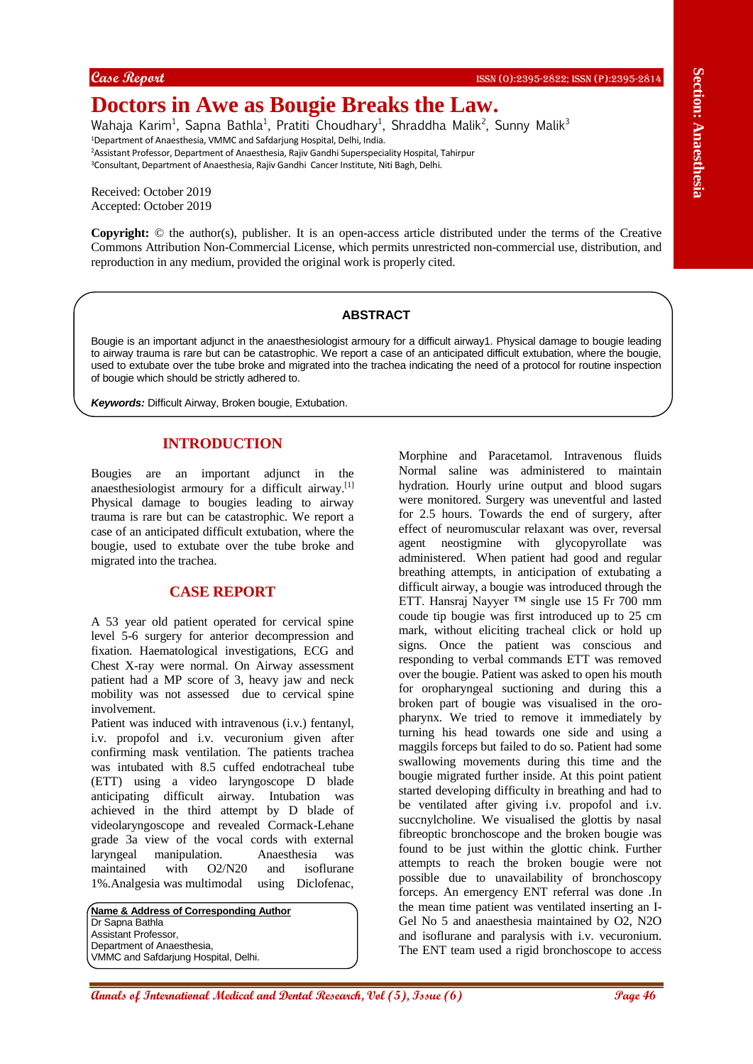# **Doctors in Awe as Bougie Breaks the Law.**

Wahaja Karim<sup>1</sup>, Sapna Bathla<sup>1</sup>, Pratiti Choudhary<sup>1</sup>, Shraddha Malik<sup>2</sup>, Sunny Malik<sup>3</sup> <sup>1</sup>Department of Anaesthesia, VMMC and Safdarjung Hospital, Delhi, India. <sup>2</sup>Assistant Professor, Department of Anaesthesia, Rajiv Gandhi Superspeciality Hospital, Tahirpur <sup>3</sup>Consultant, Department of Anaesthesia, Rajiv Gandhi Cancer Institute, Niti Bagh, Delhi.

Received: October 2019 Accepted: October 2019

**Copyright:** © the author(s), publisher. It is an open-access article distributed under the terms of the Creative Commons Attribution Non-Commercial License, which permits unrestricted non-commercial use, distribution, and reproduction in any medium, provided the original work is properly cited.

#### **ABSTRACT**

Bougie is an important adjunct in the anaesthesiologist armoury for a difficult airway1. Physical damage to bougie leading to airway trauma is rare but can be catastrophic. We report a case of an anticipated difficult extubation, where the bougie, used to extubate over the tube broke and migrated into the trachea indicating the need of a protocol for routine inspection of bougie which should be strictly adhered to.

*Keywords:* Difficult Airway, Broken bougie, Extubation.

## **INTRODUCTION**

Bougies are an important adjunct in the anaesthesiologist armoury for a difficult airway.[1] Physical damage to bougies leading to airway trauma is rare but can be catastrophic. We report a case of an anticipated difficult extubation, where the bougie, used to extubate over the tube broke and migrated into the trachea.

## **CASE REPORT**

A 53 year old patient operated for cervical spine level 5-6 surgery for anterior decompression and fixation. Haematological investigations, ECG and Chest X-ray were normal. On Airway assessment patient had a MP score of 3, heavy jaw and neck mobility was not assessed due to cervical spine involvement.

Patient was induced with intravenous (i.v.) fentanyl, i.v. propofol and i.v. vecuronium given after confirming mask ventilation. The patients trachea was intubated with 8.5 cuffed endotracheal tube (ETT) using a video laryngoscope D blade anticipating difficult airway. Intubation was achieved in the third attempt by D blade of videolaryngoscope and revealed Cormack-Lehane grade 3a view of the vocal cords with external laryngeal manipulation. Anaesthesia was maintained with O2/N20 and isoflurane 1%.Analgesia was multimodal using Diclofenac,

**Name & Address of Corresponding Author** Dr Sapna Bathla Assistant Professor, Department of Anaesthesia, VMMC and Safdarjung Hospital, Delhi.

**Are the section of International Medical and Dental Ann are not the section of CASE (Section 2002) and the section of CASE (Section 2003) and Dental Research (Section 2003) and Dental Research (Section 2003) and Dental Re** Morphine and Paracetamol. Intravenous fluids Normal saline was administered to maintain hydration. Hourly urine output and blood sugars were monitored. Surgery was uneventful and lasted for 2.5 hours. Towards the end of surgery, after effect of neuromuscular relaxant was over, reversal agent neostigmine with glycopyrollate was administered. When patient had good and regular breathing attempts, in anticipation of extubating a difficult airway, a bougie was introduced through the ETT. Hansraj Nayyer ™ single use 15 Fr 700 mm coude tip bougie was first introduced up to 25 cm mark, without eliciting tracheal click or hold up signs. Once the patient was conscious and responding to verbal commands ETT was removed over the bougie. Patient was asked to open his mouth for oropharyngeal suctioning and during this a broken part of bougie was visualised in the oropharynx. We tried to remove it immediately by turning his head towards one side and using a maggils forceps but failed to do so. Patient had some swallowing movements during this time and the bougie migrated further inside. At this point patient started developing difficulty in breathing and had to be ventilated after giving i.v. propofol and i.v. succnylcholine. We visualised the glottis by nasal fibreoptic bronchoscope and the broken bougie was found to be just within the glottic chink. Further attempts to reach the broken bougie were not possible due to unavailability of bronchoscopy forceps. An emergency ENT referral was done .In the mean time patient was ventilated inserting an I-Gel No 5 and anaesthesia maintained by O2, N2O and isoflurane and paralysis with i.v. vecuronium. The ENT team used a rigid bronchoscope to access